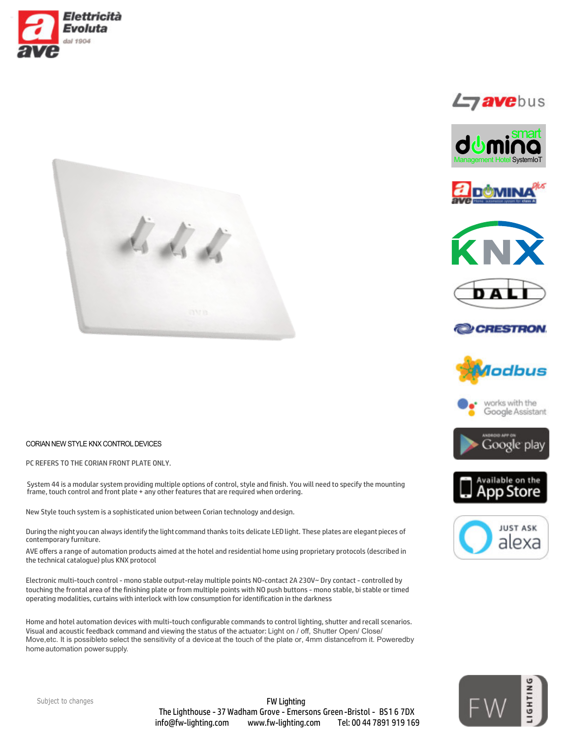













works with the Google Assistant









## CORIAN NEW STYLE KNX CONTROL DEVICES

PC REFERS TO THE CORIAN FRONT PLATE ONLY.

System 44 is a modular system providing multiple options of control, style and finish. You will need to specify the mounting frame, touch control and front plate + any other features that are required when ordering.

New Style touch system is a sophisticated union between Corian technology and design.

During the night you can always identify the lightcommand thanks toits delicate LEDlight. These plates are elegant pieces of contemporary furniture.

AVE offers a range of automation products aimed at the hotel and residential home using proprietary protocols (described in the technical catalogue) plus KNX protocol

Electronic multi-touch control - mono stable output-relay multiple points NO-contact 2A 230V~ Dry contact - controlled by touching the frontal area of the finishing plate or from multiple points with NO push buttons - mono stable, bi stable or timed operating modalities, curtains with interlock with low consumption for identification in the darkness

Home and hotel automation devices with multi-touch configurable commands to control lighting, shutter and recall scenarios. Visual and acoustic feedback command and viewing the status of the actuator: Light on / off, Shutter Open/ Close/ Move,etc. It is possibleto select the sensitivity of a deviceat the touch of the plate or, 4mm distancefrom it. Poweredby homeautomation powersupply.



Subject to changes

FW Lighting The Lighthouse - 37 Wadham Grove - Emersons Green -Bristol - BS1 6 7DX info@fw-lighting.com www.fw-lighting.com Tel: 00 44 7891 919 169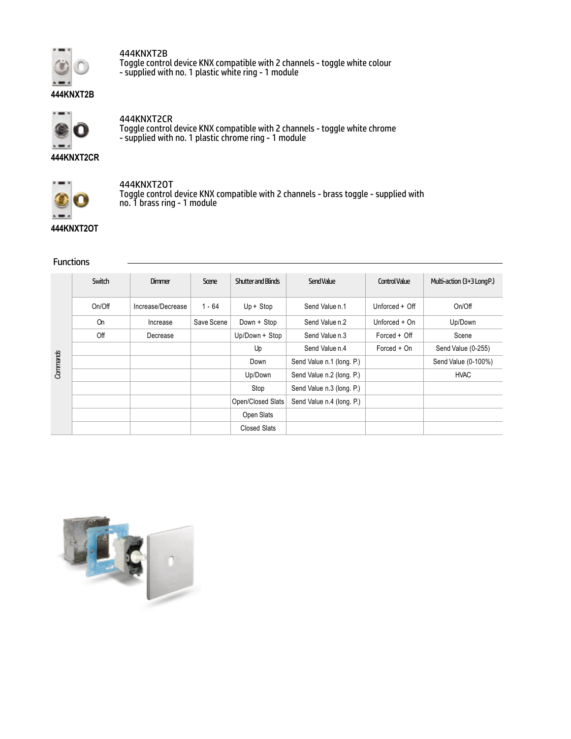

444KNXT2B

Toggle control device KNX compatible with 2 channels - toggle white colour - supplied with no. 1 plastic white ring - 1 module



444KNXT2CR Toggle control device KNX compatible with 2 channels - toggle white chrome - supplied with no. 1 plastic chrome ring - 1 module

**444KNXT2CR**



## 444KNXT2OT

Toggle control device KNX compatible with 2 channels - brass toggle - supplied with no. 1 brass ring - 1 module

## Functions

| Commands | Switch    | Dimmer            | Scene      | Shutter and Blinds | Send Value                | Control Value  | Multi-action (3+3 LongP.) |
|----------|-----------|-------------------|------------|--------------------|---------------------------|----------------|---------------------------|
|          | On/Off    | Increase/Decrease | $1 - 64$   | $Up + Stop$        | Send Value n.1            | Unforced + Off | On/Off                    |
|          | <b>On</b> | Increase          | Save Scene | Down + Stop        | Send Value n.2            | Unforced + On  | Up/Down                   |
|          | Off       | Decrease          |            | Up/Down + Stop     | Send Value n.3            | Forced + Off   | Scene                     |
|          |           |                   |            | Up                 | Send Value n.4            | Forced + On    | Send Value (0-255)        |
|          |           |                   |            | Down               | Send Value n.1 (long. P.) |                | Send Value (0-100%)       |
|          |           |                   |            | Up/Down            | Send Value n.2 (long. P.) |                | <b>HVAC</b>               |
|          |           |                   |            | Stop               | Send Value n.3 (long. P.) |                |                           |
|          |           |                   |            | Open/Closed Slats  | Send Value n.4 (long. P.) |                |                           |
|          |           |                   |            | Open Slats         |                           |                |                           |
|          |           |                   |            | Closed Slats       |                           |                |                           |